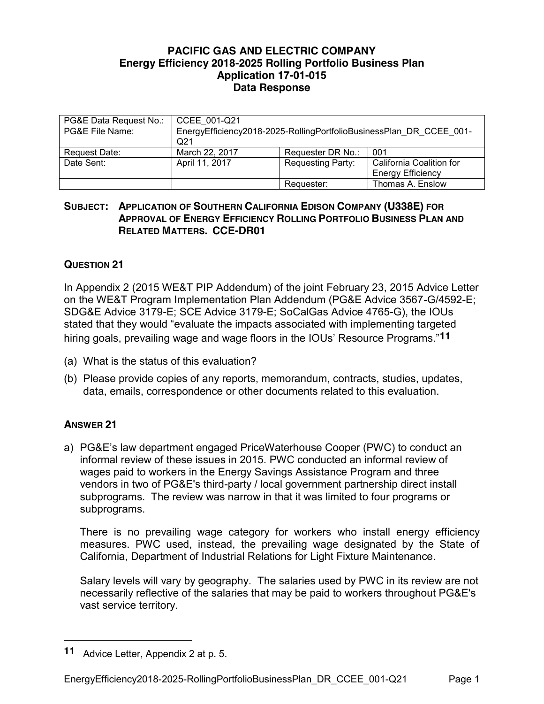## **PACIFIC GAS AND ELECTRIC COMPANY Energy Efficiency 2018-2025 Rolling Portfolio Business Plan Application 17-01-015 Data Response**

| PG&E Data Request No.: | CCEE 001-Q21                                                                           |                          |                                                      |
|------------------------|----------------------------------------------------------------------------------------|--------------------------|------------------------------------------------------|
| PG&E File Name:        | EnergyEfficiency2018-2025-RollingPortfolioBusinessPlan DR CCEE 001-<br>Q <sub>21</sub> |                          |                                                      |
| Request Date:          | March 22, 2017                                                                         | Requester DR No.:        | 001                                                  |
| Date Sent:             | April 11, 2017                                                                         | <b>Requesting Party:</b> | California Coalition for<br><b>Energy Efficiency</b> |
|                        |                                                                                        | Requester:               | Thomas A. Enslow                                     |

## **SUBJECT: APPLICATION OF SOUTHERN CALIFORNIA EDISON COMPANY (U338E) FOR APPROVAL OF ENERGY EFFICIENCY ROLLING PORTFOLIO BUSINESS PLAN AND RELATED MATTERS. CCE-DR01**

## **QUESTION 21**

In Appendix 2 (2015 WE&T PIP Addendum) of the joint February 23, 2015 Advice Letter on the WE&T Program Implementation Plan Addendum (PG&E Advice 3567-G/4592-E; SDG&E Advice 3179-E; SCE Advice 3179-E; SoCalGas Advice 4765-G), the IOUs stated that they would "evaluate the impacts associated with implementing targeted hiring goals, prevailing wage and wage floors in the IOUs' Resource Programs."**11**

- (a) What is the status of this evaluation?
- (b) Please provide copies of any reports, memorandum, contracts, studies, updates, data, emails, correspondence or other documents related to this evaluation.

## **ANSWER 21**

 $\overline{a}$ 

a) PG&E's law department engaged PriceWaterhouse Cooper (PWC) to conduct an informal review of these issues in 2015. PWC conducted an informal review of wages paid to workers in the Energy Savings Assistance Program and three vendors in two of PG&E's third-party / local government partnership direct install subprograms. The review was narrow in that it was limited to four programs or subprograms.

There is no prevailing wage category for workers who install energy efficiency measures. PWC used, instead, the prevailing wage designated by the State of California, Department of Industrial Relations for Light Fixture Maintenance.

Salary levels will vary by geography. The salaries used by PWC in its review are not necessarily reflective of the salaries that may be paid to workers throughout PG&E's vast service territory.

**<sup>11</sup>** Advice Letter, Appendix 2 at p. 5.